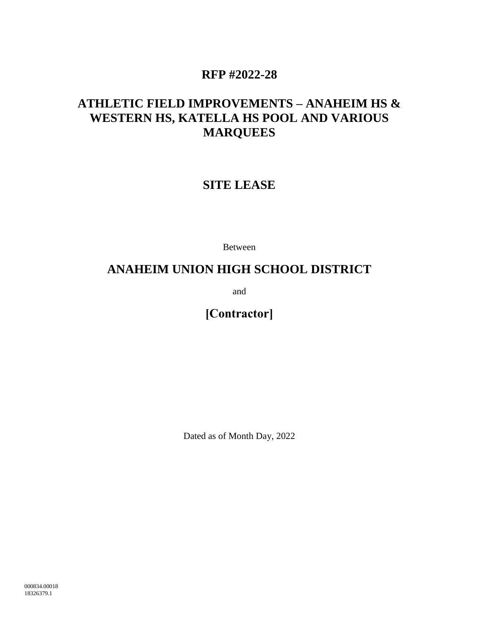# **RFP #2022-28**

# **ATHLETIC FIELD IMPROVEMENTS – ANAHEIM HS & WESTERN HS, KATELLA HS POOL AND VARIOUS MARQUEES**

# **SITE LEASE**

Between

# **ANAHEIM UNION HIGH SCHOOL DISTRICT**

and

**[Contractor]**

Dated as of Month Day, 2022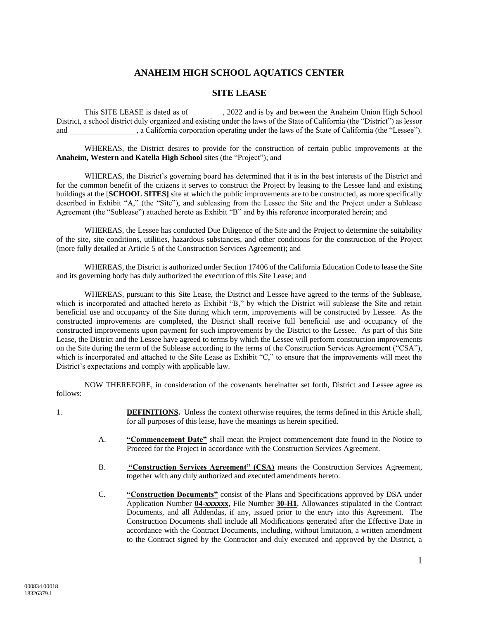# **ANAHEIM HIGH SCHOOL AQUATICS CENTER**

# **SITE LEASE**

This SITE LEASE is dated as of  $\frac{2022}{2}$  and is by and between the Anaheim Union High School District, a school district duly organized and existing under the laws of the State of California (the "District") as lessor and and , a California corporation operating under the laws of the State of California (the "Lessee").

WHEREAS, the District desires to provide for the construction of certain public improvements at the **Anaheim, Western and Katella High School** sites (the "Project"); and

WHEREAS, the District's governing board has determined that it is in the best interests of the District and for the common benefit of the citizens it serves to construct the Project by leasing to the Lessee land and existing buildings at the [**SCHOOL SITES]** site at which the public improvements are to be constructed, as more specifically described in Exhibit "A," (the "Site"), and subleasing from the Lessee the Site and the Project under a Sublease Agreement (the "Sublease") attached hereto as Exhibit "B" and by this reference incorporated herein; and

WHEREAS, the Lessee has conducted Due Diligence of the Site and the Project to determine the suitability of the site, site conditions, utilities, hazardous substances, and other conditions for the construction of the Project (more fully detailed at Article 5 of the Construction Services Agreement); and

WHEREAS, the District is authorized under Section 17406 of the California Education Code to lease the Site and its governing body has duly authorized the execution of this Site Lease; and

WHEREAS, pursuant to this Site Lease, the District and Lessee have agreed to the terms of the Sublease, which is incorporated and attached hereto as Exhibit "B," by which the District will sublease the Site and retain beneficial use and occupancy of the Site during which term, improvements will be constructed by Lessee. As the constructed improvements are completed, the District shall receive full beneficial use and occupancy of the constructed improvements upon payment for such improvements by the District to the Lessee. As part of this Site Lease, the District and the Lessee have agreed to terms by which the Lessee will perform construction improvements on the Site during the term of the Sublease according to the terms of the Construction Services Agreement ("CSA"), which is incorporated and attached to the Site Lease as Exhibit "C," to ensure that the improvements will meet the District's expectations and comply with applicable law.

NOW THEREFORE, in consideration of the covenants hereinafter set forth, District and Lessee agree as follows:

1. **DEFINITIONS.** Unless the context otherwise requires, the terms defined in this Article shall, for all purposes of this lease, have the meanings as herein specified.

- A. **"Commencement Date"** shall mean the Project commencement date found in the Notice to Proceed for the Project in accordance with the Construction Services Agreement.
- B. **"Construction Services Agreement" (CSA)** means the Construction Services Agreement, together with any duly authorized and executed amendments hereto.
- C. **"Construction Documents"** consist of the Plans and Specifications approved by DSA under Application Number **04-xxxxxx**, File Number **30-H1**, Allowances stipulated in the Contract Documents, and all Addendas, if any, issued prior to the entry into this Agreement. The Construction Documents shall include all Modifications generated after the Effective Date in accordance with the Contract Documents, including, without limitation, a written amendment to the Contract signed by the Contractor and duly executed and approved by the District, a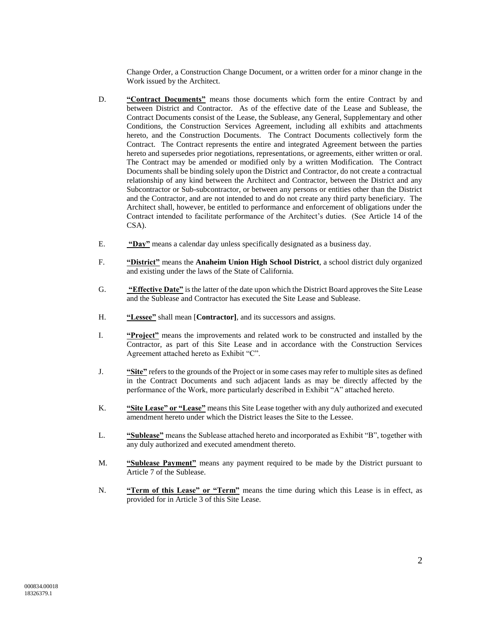Change Order, a Construction Change Document, or a written order for a minor change in the Work issued by the Architect.

- D. **"Contract Documents"** means those documents which form the entire Contract by and between District and Contractor. As of the effective date of the Lease and Sublease, the Contract Documents consist of the Lease, the Sublease, any General, Supplementary and other Conditions, the Construction Services Agreement, including all exhibits and attachments hereto, and the Construction Documents. The Contract Documents collectively form the Contract. The Contract represents the entire and integrated Agreement between the parties hereto and supersedes prior negotiations, representations, or agreements, either written or oral. The Contract may be amended or modified only by a written Modification. The Contract Documents shall be binding solely upon the District and Contractor, do not create a contractual relationship of any kind between the Architect and Contractor, between the District and any Subcontractor or Sub-subcontractor, or between any persons or entities other than the District and the Contractor, and are not intended to and do not create any third party beneficiary. The Architect shall, however, be entitled to performance and enforcement of obligations under the Contract intended to facilitate performance of the Architect's duties. (See Article 14 of the CSA).
- E. **"Day"** means a calendar day unless specifically designated as a business day.
- F. **"District"** means the **Anaheim Union High School District**, a school district duly organized and existing under the laws of the State of California.
- G. **"Effective Date"** is the latter of the date upon which the District Board approves the Site Lease and the Sublease and Contractor has executed the Site Lease and Sublease.
- H. **"Lessee"** shall mean [**Contractor]**, and its successors and assigns.
- I. **"Project"** means the improvements and related work to be constructed and installed by the Contractor, as part of this Site Lease and in accordance with the Construction Services Agreement attached hereto as Exhibit "C".
- J. **"Site"** refers to the grounds of the Project or in some cases may refer to multiple sites as defined in the Contract Documents and such adjacent lands as may be directly affected by the performance of the Work, more particularly described in Exhibit "A" attached hereto.
- K. **"Site Lease" or "Lease"** means this Site Lease together with any duly authorized and executed amendment hereto under which the District leases the Site to the Lessee.
- L. **"Sublease"** means the Sublease attached hereto and incorporated as Exhibit "B", together with any duly authorized and executed amendment thereto.
- M. **"Sublease Payment"** means any payment required to be made by the District pursuant to Article [7](#page-5-0) of the Sublease.
- N. **"Term of this Lease" or "Term"** means the time during which this Lease is in effect, as provided for in Articl[e 3](#page-3-0) of this Site Lease.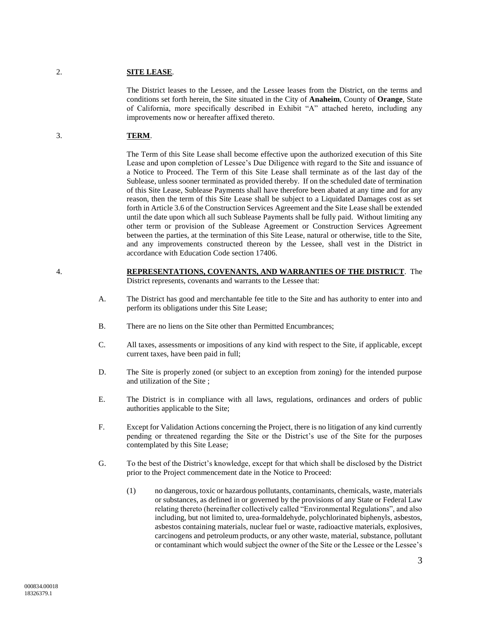### 2. **SITE LEASE**.

The District leases to the Lessee, and the Lessee leases from the District, on the terms and conditions set forth herein, the Site situated in the City of **Anaheim**, County of **Orange**, State of California, more specifically described in Exhibit "A" attached hereto, including any improvements now or hereafter affixed thereto.

# <span id="page-3-0"></span>3. **TERM**.

The Term of this Site Lease shall become effective upon the authorized execution of this Site Lease and upon completion of Lessee's Due Diligence with regard to the Site and issuance of a Notice to Proceed. The Term of this Site Lease shall terminate as of the last day of the Sublease, unless sooner terminated as provided thereby. If on the scheduled date of termination of this Site Lease, Sublease Payments shall have therefore been abated at any time and for any reason, then the term of this Site Lease shall be subject to a Liquidated Damages cost as set forth in Article 3.6 of the Construction Services Agreement and the Site Lease shall be extended until the date upon which all such Sublease Payments shall be fully paid. Without limiting any other term or provision of the Sublease Agreement or Construction Services Agreement between the parties, at the termination of this Site Lease, natural or otherwise, title to the Site, and any improvements constructed thereon by the Lessee, shall vest in the District in accordance with Education Code section 17406.

#### 4. **REPRESENTATIONS, COVENANTS, AND WARRANTIES OF THE DISTRICT**. The District represents, covenants and warrants to the Lessee that:

- A. The District has good and merchantable fee title to the Site and has authority to enter into and perform its obligations under this Site Lease;
- B. There are no liens on the Site other than Permitted Encumbrances;
- C. All taxes, assessments or impositions of any kind with respect to the Site, if applicable, except current taxes, have been paid in full;
- D. The Site is properly zoned (or subject to an exception from zoning) for the intended purpose and utilization of the Site ;
- E. The District is in compliance with all laws, regulations, ordinances and orders of public authorities applicable to the Site;
- F. Except for Validation Actions concerning the Project, there is no litigation of any kind currently pending or threatened regarding the Site or the District's use of the Site for the purposes contemplated by this Site Lease;
- G. To the best of the District's knowledge, except for that which shall be disclosed by the District prior to the Project commencement date in the Notice to Proceed:
	- (1) no dangerous, toxic or hazardous pollutants, contaminants, chemicals, waste, materials or substances, as defined in or governed by the provisions of any State or Federal Law relating thereto (hereinafter collectively called "Environmental Regulations", and also including, but not limited to, urea-formaldehyde, polychlorinated biphenyls, asbestos, asbestos containing materials, nuclear fuel or waste, radioactive materials, explosives, carcinogens and petroleum products, or any other waste, material, substance, pollutant or contaminant which would subject the owner of the Site or the Lessee or the Lessee's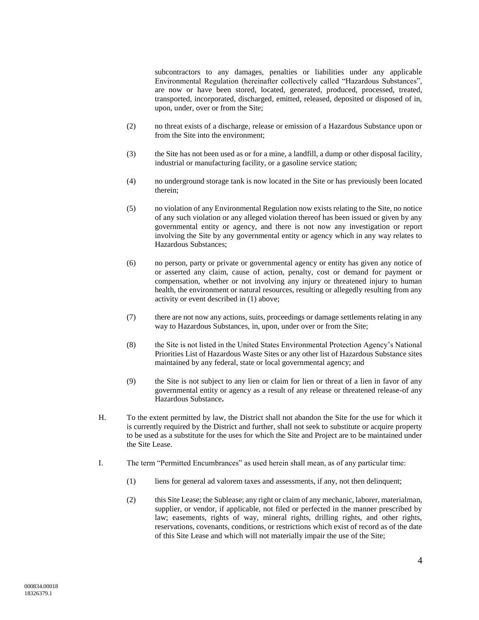subcontractors to any damages, penalties or liabilities under any applicable Environmental Regulation (hereinafter collectively called "Hazardous Substances", are now or have been stored, located, generated, produced, processed, treated, transported, incorporated, discharged, emitted, released, deposited or disposed of in, upon, under, over or from the Site;

- (2) no threat exists of a discharge, release or emission of a Hazardous Substance upon or from the Site into the environment;
- (3) the Site has not been used as or for a mine, a landfill, a dump or other disposal facility, industrial or manufacturing facility, or a gasoline service station;
- (4) no underground storage tank is now located in the Site or has previously been located therein;
- (5) no violation of any Environmental Regulation now exists relating to the Site, no notice of any such violation or any alleged violation thereof has been issued or given by any governmental entity or agency, and there is not now any investigation or report involving the Site by any governmental entity or agency which in any way relates to Hazardous Substances;
- (6) no person, party or private or governmental agency or entity has given any notice of or asserted any claim, cause of action, penalty, cost or demand for payment or compensation, whether or not involving any injury or threatened injury to human health, the environment or natural resources, resulting or allegedly resulting from any activity or event described in (1) above;
- (7) there are not now any actions, suits, proceedings or damage settlements relating in any way to Hazardous Substances, in, upon, under over or from the Site;
- (8) the Site is not listed in the United States Environmental Protection Agency's National Priorities List of Hazardous Waste Sites or any other list of Hazardous Substance sites maintained by any federal, state or local governmental agency; and
- (9) the Site is not subject to any lien or claim for lien or threat of a lien in favor of any governmental entity or agency as a result of any release or threatened release-of any Hazardous Substance**.**
- H. To the extent permitted by law, the District shall not abandon the Site for the use for which it is currently required by the District and further, shall not seek to substitute or acquire property to be used as a substitute for the uses for which the Site and Project are to be maintained under the Site Lease.
- I. The term "Permitted Encumbrances" as used herein shall mean, as of any particular time:
	- (1) liens for general ad valorem taxes and assessments, if any, not then delinquent;
	- (2) this Site Lease; the Sublease; any right or claim of any mechanic, laborer, materialman, supplier, or vendor, if applicable, not filed or perfected in the manner prescribed by law; easements, rights of way, mineral rights, drilling rights, and other rights, reservations, covenants, conditions, or restrictions which exist of record as of the date of this Site Lease and which will not materially impair the use of the Site;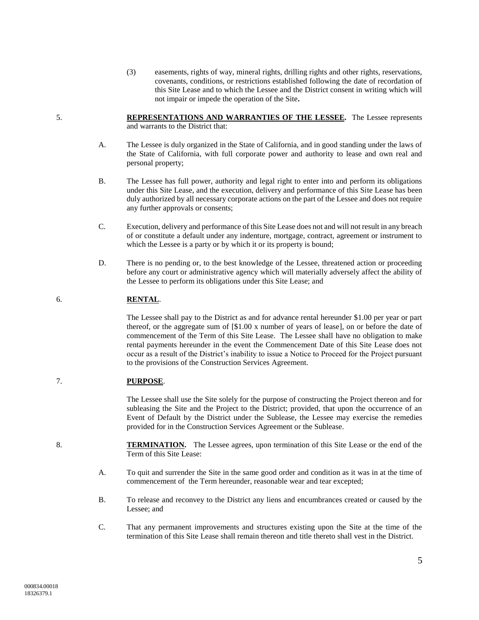(3) easements, rights of way, mineral rights, drilling rights and other rights, reservations, covenants, conditions, or restrictions established following the date of recordation of this Site Lease and to which the Lessee and the District consent in writing which will not impair or impede the operation of the Site**.**

#### 5. **REPRESENTATIONS AND WARRANTIES OF THE LESSEE.** The Lessee represents and warrants to the District that:

- A. The Lessee is duly organized in the State of California, and in good standing under the laws of the State of California, with full corporate power and authority to lease and own real and personal property;
- B. The Lessee has full power, authority and legal right to enter into and perform its obligations under this Site Lease, and the execution, delivery and performance of this Site Lease has been duly authorized by all necessary corporate actions on the part of the Lessee and does not require any further approvals or consents;
- C. Execution, delivery and performance of this Site Lease does not and will not result in any breach of or constitute a default under any indenture, mortgage, contract, agreement or instrument to which the Lessee is a party or by which it or its property is bound;
- D. There is no pending or, to the best knowledge of the Lessee, threatened action or proceeding before any court or administrative agency which will materially adversely affect the ability of the Lessee to perform its obligations under this Site Lease; and

# 6. **RENTAL**.

The Lessee shall pay to the District as and for advance rental hereunder \$1.00 per year or part thereof, or the aggregate sum of [\$1.00 x number of years of lease], on or before the date of commencement of the Term of this Site Lease. The Lessee shall have no obligation to make rental payments hereunder in the event the Commencement Date of this Site Lease does not occur as a result of the District's inability to issue a Notice to Proceed for the Project pursuant to the provisions of the Construction Services Agreement.

### <span id="page-5-0"></span>7. **PURPOSE**.

The Lessee shall use the Site solely for the purpose of constructing the Project thereon and for subleasing the Site and the Project to the District; provided, that upon the occurrence of an Event of Default by the District under the Sublease, the Lessee may exercise the remedies provided for in the Construction Services Agreement or the Sublease.

- 8. **TERMINATION.** The Lessee agrees, upon termination of this Site Lease or the end of the Term of this Site Lease:
	- A. To quit and surrender the Site in the same good order and condition as it was in at the time of commencement of the Term hereunder, reasonable wear and tear excepted;
	- B. To release and reconvey to the District any liens and encumbrances created or caused by the Lessee; and
	- C. That any permanent improvements and structures existing upon the Site at the time of the termination of this Site Lease shall remain thereon and title thereto shall vest in the District.

5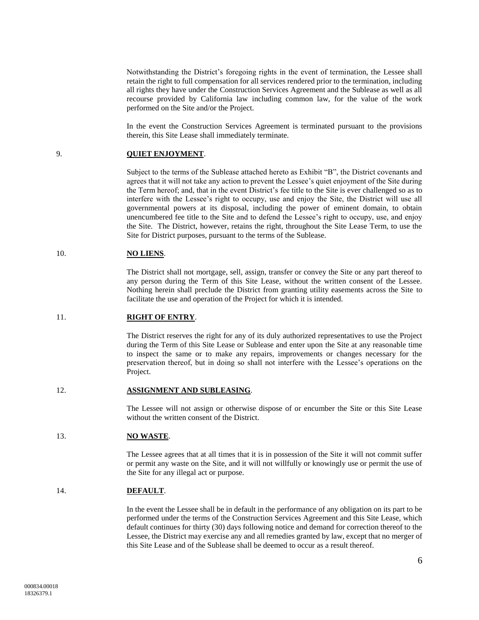Notwithstanding the District's foregoing rights in the event of termination, the Lessee shall retain the right to full compensation for all services rendered prior to the termination, including all rights they have under the Construction Services Agreement and the Sublease as well as all recourse provided by California law including common law, for the value of the work performed on the Site and/or the Project.

In the event the Construction Services Agreement is terminated pursuant to the provisions therein, this Site Lease shall immediately terminate.

#### 9. **QUIET ENJOYMENT**.

Subject to the terms of the Sublease attached hereto as Exhibit "B", the District covenants and agrees that it will not take any action to prevent the Lessee's quiet enjoyment of the Site during the Term hereof; and, that in the event District's fee title to the Site is ever challenged so as to interfere with the Lessee's right to occupy, use and enjoy the Site, the District will use all governmental powers at its disposal, including the power of eminent domain, to obtain unencumbered fee title to the Site and to defend the Lessee's right to occupy, use, and enjoy the Site. The District, however, retains the right, throughout the Site Lease Term, to use the Site for District purposes, pursuant to the terms of the Sublease.

#### 10. **NO LIENS**.

The District shall not mortgage, sell, assign, transfer or convey the Site or any part thereof to any person during the Term of this Site Lease, without the written consent of the Lessee. Nothing herein shall preclude the District from granting utility easements across the Site to facilitate the use and operation of the Project for which it is intended.

#### 11. **RIGHT OF ENTRY**.

The District reserves the right for any of its duly authorized representatives to use the Project during the Term of this Site Lease or Sublease and enter upon the Site at any reasonable time to inspect the same or to make any repairs, improvements or changes necessary for the preservation thereof, but in doing so shall not interfere with the Lessee's operations on the Project.

#### 12. **ASSIGNMENT AND SUBLEASING**.

The Lessee will not assign or otherwise dispose of or encumber the Site or this Site Lease without the written consent of the District.

#### 13. **NO WASTE**.

The Lessee agrees that at all times that it is in possession of the Site it will not commit suffer or permit any waste on the Site, and it will not willfully or knowingly use or permit the use of the Site for any illegal act or purpose.

### 14. **DEFAULT**.

In the event the Lessee shall be in default in the performance of any obligation on its part to be performed under the terms of the Construction Services Agreement and this Site Lease, which default continues for thirty (30) days following notice and demand for correction thereof to the Lessee, the District may exercise any and all remedies granted by law, except that no merger of this Site Lease and of the Sublease shall be deemed to occur as a result thereof.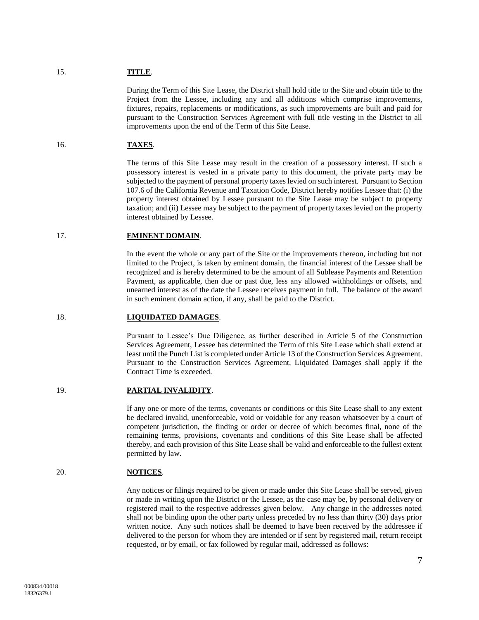### 15. **TITLE**.

During the Term of this Site Lease, the District shall hold title to the Site and obtain title to the Project from the Lessee, including any and all additions which comprise improvements, fixtures, repairs, replacements or modifications, as such improvements are built and paid for pursuant to the Construction Services Agreement with full title vesting in the District to all improvements upon the end of the Term of this Site Lease.

# 16. **TAXES**.

The terms of this Site Lease may result in the creation of a possessory interest. If such a possessory interest is vested in a private party to this document, the private party may be subjected to the payment of personal property taxes levied on such interest. Pursuant to Section 107.6 of the California Revenue and Taxation Code, District hereby notifies Lessee that: (i) the property interest obtained by Lessee pursuant to the Site Lease may be subject to property taxation; and (ii) Lessee may be subject to the payment of property taxes levied on the property interest obtained by Lessee.

## 17. **EMINENT DOMAIN**.

In the event the whole or any part of the Site or the improvements thereon, including but not limited to the Project, is taken by eminent domain, the financial interest of the Lessee shall be recognized and is hereby determined to be the amount of all Sublease Payments and Retention Payment, as applicable, then due or past due, less any allowed withholdings or offsets, and unearned interest as of the date the Lessee receives payment in full. The balance of the award in such eminent domain action, if any, shall be paid to the District.

### 18. **LIQUIDATED DAMAGES**.

Pursuant to Lessee's Due Diligence, as further described in Article 5 of the Construction Services Agreement, Lessee has determined the Term of this Site Lease which shall extend at least until the Punch List is completed under Article 13 of the Construction Services Agreement. Pursuant to the Construction Services Agreement, Liquidated Damages shall apply if the Contract Time is exceeded.

### 19. **PARTIAL INVALIDITY**.

If any one or more of the terms, covenants or conditions or this Site Lease shall to any extent be declared invalid, unenforceable, void or voidable for any reason whatsoever by a court of competent jurisdiction, the finding or order or decree of which becomes final, none of the remaining terms, provisions, covenants and conditions of this Site Lease shall be affected thereby, and each provision of this Site Lease shall be valid and enforceable to the fullest extent permitted by law.

# 20. **NOTICES**.

Any notices or filings required to be given or made under this Site Lease shall be served, given or made in writing upon the District or the Lessee, as the case may be, by personal delivery or registered mail to the respective addresses given below. Any change in the addresses noted shall not be binding upon the other party unless preceded by no less than thirty (30) days prior written notice. Any such notices shall be deemed to have been received by the addressee if delivered to the person for whom they are intended or if sent by registered mail, return receipt requested, or by email, or fax followed by regular mail, addressed as follows: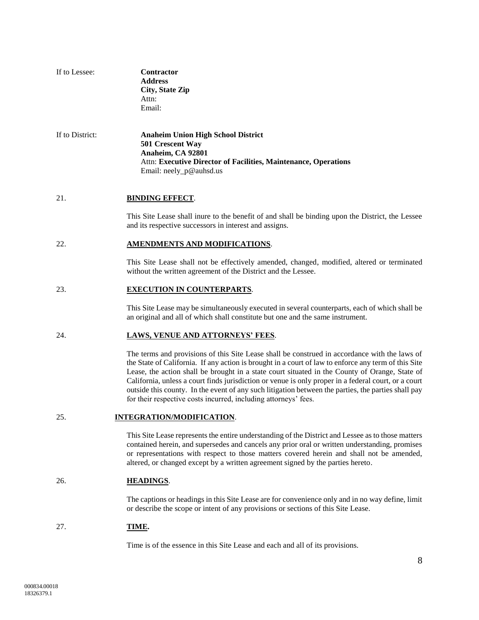| If to Lessee:   | <b>Contractor</b><br><b>Address</b><br>City, State Zip<br>Attn:<br>Email:                                                                             |
|-----------------|-------------------------------------------------------------------------------------------------------------------------------------------------------|
| If to District: | <b>Anaheim Union High School District</b><br>501 Crescent Way<br>Anaheim, CA 92801<br>Attn: Executive Director of Facilities, Maintenance, Operations |

### 21. **BINDING EFFECT**.

This Site Lease shall inure to the benefit of and shall be binding upon the District, the Lessee and its respective successors in interest and assigns.

#### 22. **AMENDMENTS AND MODIFICATIONS**.

Email: neely\_p@auhsd.us

This Site Lease shall not be effectively amended, changed, modified, altered or terminated without the written agreement of the District and the Lessee.

### 23. **EXECUTION IN COUNTERPARTS**.

This Site Lease may be simultaneously executed in several counterparts, each of which shall be an original and all of which shall constitute but one and the same instrument.

#### 24. **LAWS, VENUE AND ATTORNEYS' FEES**.

The terms and provisions of this Site Lease shall be construed in accordance with the laws of the State of California. If any action is brought in a court of law to enforce any term of this Site Lease, the action shall be brought in a state court situated in the County of Orange, State of California, unless a court finds jurisdiction or venue is only proper in a federal court, or a court outside this county. In the event of any such litigation between the parties, the parties shall pay for their respective costs incurred, including attorneys' fees.

#### 25. **INTEGRATION/MODIFICATION**.

This Site Lease represents the entire understanding of the District and Lessee as to those matters contained herein, and supersedes and cancels any prior oral or written understanding, promises or representations with respect to those matters covered herein and shall not be amended, altered, or changed except by a written agreement signed by the parties hereto.

#### 26. **HEADINGS**.

The captions or headings in this Site Lease are for convenience only and in no way define, limit or describe the scope or intent of any provisions or sections of this Site Lease.

### 27. **TIME.**

Time is of the essence in this Site Lease and each and all of its provisions.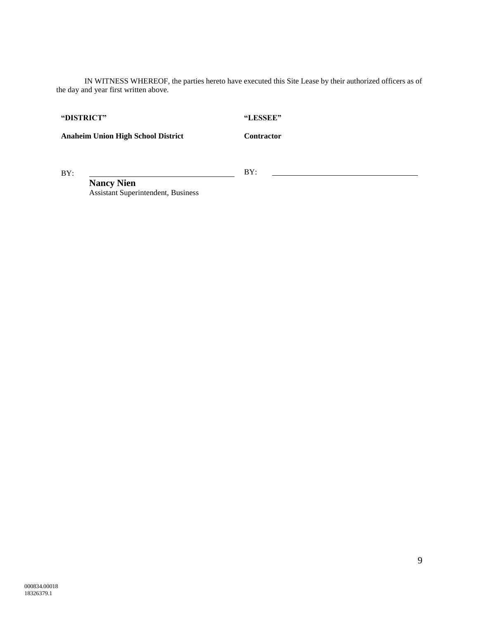IN WITNESS WHEREOF, the parties hereto have executed this Site Lease by their authorized officers as of the day and year first written above.

**"DISTRICT"**

**"LESSEE"**

**Anaheim Union High School District**

**Contractor**

BY:

BY:

**Nancy Nien** Assistant Superintendent, Business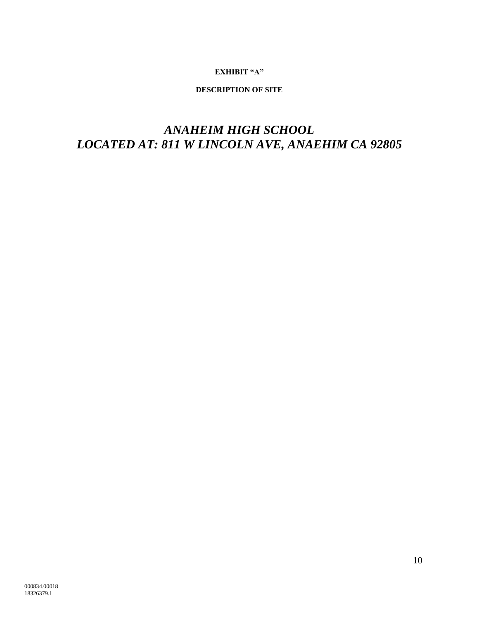# ЕХНІВІТ "А"

# DESCRIPTION OF SITE

# **ANAHEIM HIGH SCHOOL** LOCATED AT: 811 W LINCOLN AVE, ANAEHIM CA 92805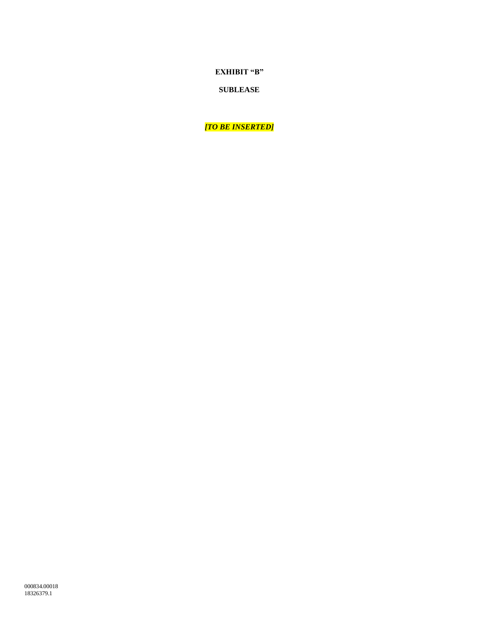000834.00018 18326379.1

**EXHIBIT "B"** 

**[TO BE INSERTED]** 

**SUBLEASE**